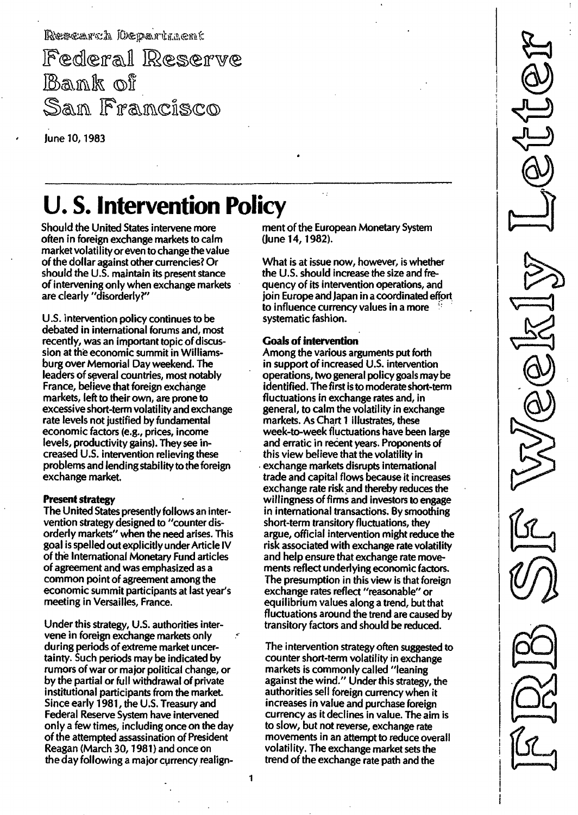Research Department Federal Reserve lBank of San Francisco

June 10, 1983

# **U.S. Intervention Policy**

Should the United States intervene more often in foreign exchange markets to calm market volatility or even to change the value of the dollar against other currencies? Or should the U.5. maintain its present stance of intervening only when exchange markets are clearly "disorderly?"

U.5. intervention policy continues to be debated in international forums and, most recently, was an important topic of discussion at the economic summit in Williamsburg over Memorial Day weekend. The leaders of several countries, most notably France, believe that foreign exchange markets, left to their own, are prone to excessive short-term volatility and exchange rate levels not justified by fundamental economic factors (e.g., prices, income levels, productivity gains). They see increased U.S. intervention relieving these problems and lending stability to the foreign exchange market.

### Present strategy

The United States presently follows an intervention strategy designed to "counter disorderly markets" when the need arises. This goal is spelled out explicitly under Article IV of the International Monetary Fund articles of agreement and was emphasized as a common point of agreement among the economic summit participants at last year's meeting in Versailles, France.

Under this strategy, U.5. authorities intervene in foreign exchange markets only during periods of extreme market uncertainty. Such periods may be indicated by rumors of war or major political change, or by the partial or full withdrawal of private institutional participants from the market. Since early 1981, the U.S. Treasury and Federal Reserve System have intervened onlya few times, including once on the day of the attempted assassination of President Reagan (March 30, 1 981 ) and once on the day following a major cwrency realignment of the European Monetary System (June 14, 1982).

What is at issue now, however, is whether the U.S. should increase the size and frequency of its intervention operations, and join Europe and Japan in a coordinated effort to influence currency values in a more systematic fashion.

### Goals of intervention

Among the various arguments put forth in support of increased U.S. intervention operations, two general policy goals may be identified. The first is to moderate short-term fluctuations in exchange rates and, in general, to calm the volatility in exchange markets. As Chart 1 illustrates, these week-to-week fluctuations have been large and erratic in recent years. Proponents of this view believe that the volatility in . exchange markets disrupts international trade and capital flows because it increases exchange rate risk and thereby reduces the willingness of firms and investors to engage in international transactions. By smoothing short-term transitory fluctuations, they argue, official intervention might reduce the risk associated with exchange rate volatility and help ensure that exchange rate movements reflect underlying economic factors. The presumption in this view is that foreign exchange rates reflect "reasonable" or equilibrium values along a trend, but that fluctuations around the trend are caused by transitory factors and should be reduced.

The intervention strategy often suggested to counter short-term volatility in exchange markets is commonly called "leaning against the wind." Under this strategy, the authorities sell foreign currency when it increases in value and purchase foreign currency as it declines in value. The aim is to slow, but not reverse, exchange rate movements in an attempt to reduce overall volatility. The exchange market sets the trend of the exchange rate path and the

1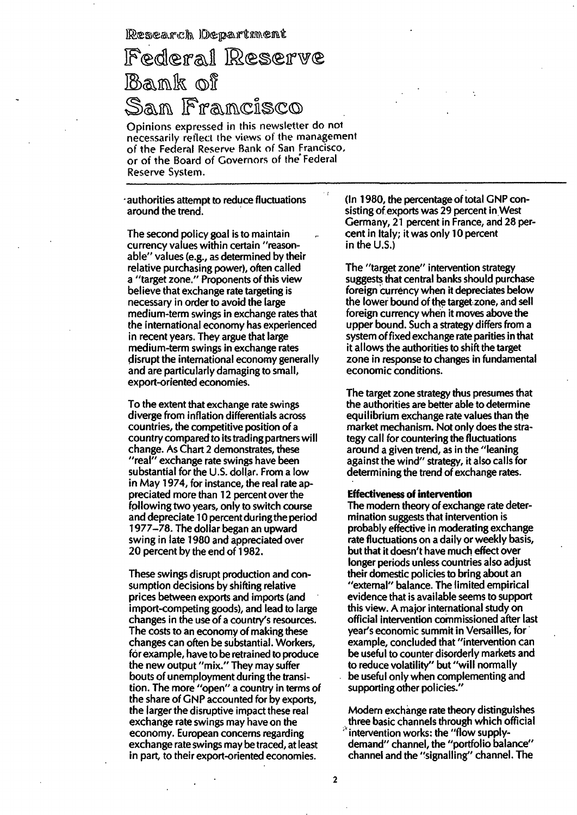Research Department

# Federal Reserve Bank of Sam Francisco

Opinions expressed in this newsletter do not necessarily reflect the views of the management of the Federal Reserve Bank of San Francisco, or of the Board of Covernors of the' Federal Reserve System.

. authorities attempt to reduce fluctuations around the trend.

The second policy goal is to maintain currency values within certain "reasonable" values (e.g., as determined by their relative purchasing power), often called a "target zone:' Proponents of this view believe that exchange rate targeting is necessary in order to avoid the large medium-term swings in exchange rates that the international economy has experienced in recent years. They argue that large medium-term swings in exchange rates disrupt the international economy generally and are particularly damaging to small, export-oriented economies.

To the extent that exchange rate swings diverge from inflation differentials across countries, the competitive position of a country compared to its trading partners will change. As Chart 2 demonstrates, these "real" exchange rate swings have been substantial for the U.S. dollar. From a low in May 1974, for instance, the real rate appreciated more than 12 percent over the following two years, only to switch course and depreciate 10 percent during the period 1 977-78. The dollar began an upward swing in late 1980 and appreciated over 20 percent by the end of 1982.

These swings disrupt production and consumption decisions by shifting relative prices between exports and imports (and import-competing goods), and lead to large changes in the use of a country's resources. The costs to an economy of making these changes can often be substantial. Workers, for example, have to be retrained to produce the new output "mix:' They may suffer bouts of unemployment during the transition. The more "open" a country in terms of the share of GNP accounted for by exports, the larger the disruptive impact these real exchange rate swings may have on the economy. European concerns regarding exchange rate swings may be traced, at least in part, to their export-oriented economies.

(In 1980, the percentage of total GNP consisting of exports was 29 percent in West Germany, 21 percent in France, and 28 percent in Italy; it was only 10 percent in the U.s.)

The "target zone" intervention strategy suggests that central banks should purchase foreign currency when it depreciates below the lower bound of the target zone, and sell foreign currency when it moves above the upper bound. Such a strategy differs from a system of fixed exchange rate parities in that it allows the authorities to shift the target zone in response to changes in fundamental economic conditions.

The target zone strategy thus presumes that the authorities are better able to determine equilibrium exchange rate values than the market mechanism. Not only does the strategy call for countering the fluctuations around a given trend, as in the "leaning against the wind" strategy, it also calls for determining the trend of exchange rates.

#### Effectiveness of intervention

The modern theory of exchange rate determination suggests that intervention is probably effective in moderating exchange rate fluctuations on a daily or weekly basis, but that it doesn't have much effect over longer periods unless countries also adjust their domestic policies to bring about an "external" balance. The limited empirical evidence that is available seems to support this view. A major international study on official intervention commissioned after last year's economic summit in Versailles, for example, concluded that "intervention can be useful to counter disorderly markets and to reduce volatility" but "will normally be useful only when complementing and supporting other policies."

Modern exchange rate theory distinguishes three basic channels through which official intervention works: the "flow supplydemand" channel, the "portfolio balance" channel and the "signalling" channel. The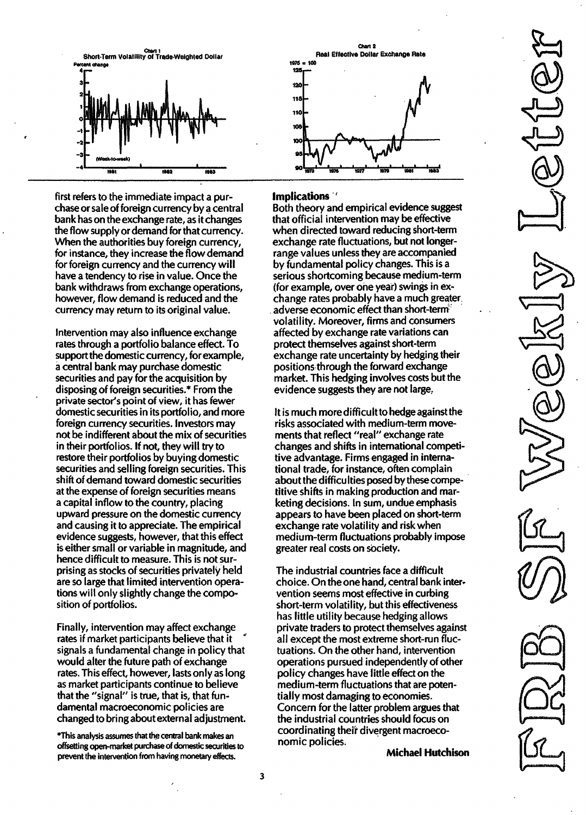

first refers to the immediate impact a purchase or sale of foreign currency by a central bank has on the exchange rate, as it changes the flow supply or demand for that currency. When the authorities buy foreign currency, for instance, they increase the flow demand for foreign currency and the currency will have a tendency to rise in value. Once the bank withdraws from exchange operations, however, flow demand is reduced and the currency may return to its original value.

Intervention may also influence exchange rates through a portfolio balance effect. To support the domestic currency, for example, a central bank may purchase domestic securities and pay for the acquisition by disposing of foreign securities.\* From the private sector's point of view, it has fewer domestic securities in its portfolio, and more foreign currency securities. Investors may not be indifferent about the mix of securities in their portfolios. If not, they will try to restore their portfolios by buying domestic securities and selling foreign securities. This shift of demand toward domestic securities at the expense of foreign securities means a capital inflow to the country, placing upward pressure on the domestic currency and causing it to appreciate. The empirical evidence suggests, however, that this effect is either small or variable in magnitude, and hence difficult to measure. This is not surprising as stocks of securities privately held are so large that limited intervention operations will only slightly change the composition of portfolios.

Finally, intervention may affect exchange rates if market participants believe that it signals a fundamental change in policy that would alter the future path of exchange rates. This effect, however, lasts only as long as market participants continue to believe that the "signal" is true, that is, that fundamental macroeconomic policies are changed to bring about external adjustment.

\*This analysis assumes that the central bank makes an offsetting open-market purchase of domestic securities to prevent the intervention from having monetary effects.



### Implications "

Both theory and empirical evidence suggest that official intervention may be effective when directed toward reducing short-term exchange rate fluctuations, but not longerrange values unless they are accompanied by fundamental policy changes. This is a serious shortcoming because medium-term (for example, over one year) swings in exchange rates probably have a much greater adverse economic effect than short-term· volatility. Moreover, firms and consumers affected by exchange rate variations can protect themselves against short-term exchange rate uncertainty by hedging their positions through the forward exchange market. This hedging involves costs but the evidence suggests they are not large,

It is much more difficult to hedge against the risks associated with medium-term movements that reflect "real" exchange rate changes and shifts in international competitive advantage. Firms engaged in international trade, for instance, often complain about the difficulties posed by these competitive shifts in making production and marketing decisions. In sum, undue emphasis appears to have been placed on short-term exchange rate volatility and risk when medium-term fluctuations probably impose greater real costs on society.

The industrial countries face a difficult choice. On the one hand, central bank intervention seems most effective in curbing short-term volatility, but this effectiveness has little utility because hedging allows private traders to protect themselves against all except the most extreme short-run fluctuations. On the other hand, intervention operations pursued independently of other policy changes have little effect on the medium-term fluctuations that are potentially most damaging to economies. Concern for the latter problem argues that the industrial countries should focus on coordinating their divergent macroeconomic policies.

Michael Hutchison

$$
\mathbb{E}\boxtimes\mathbb{D}\oplus\mathbb{F}\boxtimes\mathbb{W}\oplus\mathbb{K}\boxtimes\mathbb{F}\oplus\mathbb{H}
$$